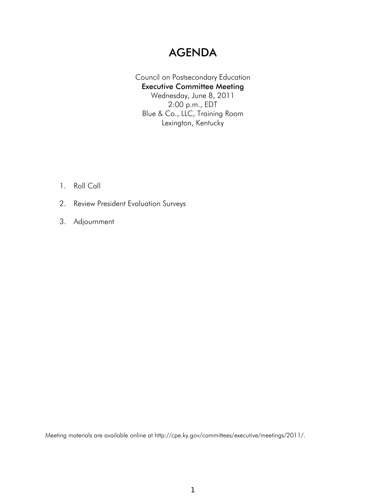## AGENDA

## Council on Postsecondary Education Executive Committee Meeting Wednesday, June 8, 2011 2:00 p.m., EDT Blue & Co., LLC, Training Room Lexington, Kentucky

- 1. Roll Call
- 2. Review President Evaluation Surveys
- 3. Adjournment

Meeting materials are available online at http://cpe.ky.gov/committees/executive/meetings/2011/.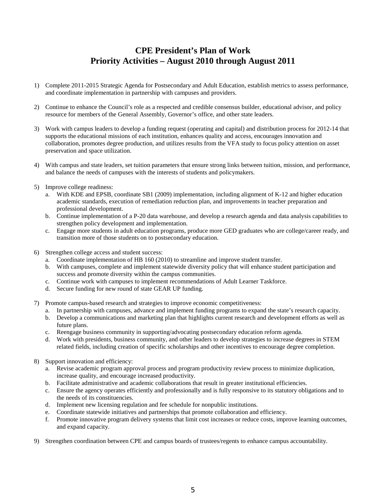## **CPE President's Plan of Work Priority Activities – August 2010 through August 2011**

- 1) Complete 2011-2015 Strategic Agenda for Postsecondary and Adult Education, establish metrics to assess performance, and coordinate implementation in partnership with campuses and providers.
- 2) Continue to enhance the Council's role as a respected and credible consensus builder, educational advisor, and policy resource for members of the General Assembly, Governor's office, and other state leaders.
- 3) Work with campus leaders to develop a funding request (operating and capital) and distribution process for 2012-14 that supports the educational missions of each institution, enhances quality and access, encourages innovation and collaboration, promotes degree production, and utilizes results from the VFA study to focus policy attention on asset preservation and space utilization.
- 4) With campus and state leaders, set tuition parameters that ensure strong links between tuition, mission, and performance, and balance the needs of campuses with the interests of students and policymakers.
- 5) Improve college readiness:
	- a. With KDE and EPSB, coordinate SB1 (2009) implementation, including alignment of K-12 and higher education academic standards, execution of remediation reduction plan, and improvements in teacher preparation and professional development.
	- b. Continue implementation of a P-20 data warehouse, and develop a research agenda and data analysis capabilities to strengthen policy development and implementation.
	- c. Engage more students in adult education programs, produce more GED graduates who are college/career ready, and transition more of those students on to postsecondary education.
- 6) Strengthen college access and student success:
	- a. Coordinate implementation of HB 160 (2010) to streamline and improve student transfer.
	- b. With campuses, complete and implement statewide diversity policy that will enhance student participation and success and promote diversity within the campus communities.
	- c. Continue work with campuses to implement recommendations of Adult Learner Taskforce.
	- d. Secure funding for new round of state GEAR UP funding.
- 7) Promote campus-based research and strategies to improve economic competitiveness:
	- a. In partnership with campuses, advance and implement funding programs to expand the state's research capacity.
	- b. Develop a communications and marketing plan that highlights current research and development efforts as well as future plans.
	- c. Reengage business community in supporting/advocating postsecondary education reform agenda.
	- d. Work with presidents, business community, and other leaders to develop strategies to increase degrees in STEM related fields, including creation of specific scholarships and other incentives to encourage degree completion.
- 8) Support innovation and efficiency:
	- a. Revise academic program approval process and program productivity review process to minimize duplication, increase quality, and encourage increased productivity.
	- b. Facilitate administrative and academic collaborations that result in greater institutional efficiencies.
	- c. Ensure the agency operates efficiently and professionally and is fully responsive to its statutory obligations and to the needs of its constituencies.
	- d. Implement new licensing regulation and fee schedule for nonpublic institutions.
	- e. Coordinate statewide initiatives and partnerships that promote collaboration and efficiency.
	- f. Promote innovative program delivery systems that limit cost increases or reduce costs, improve learning outcomes, and expand capacity.
- 9) Strengthen coordination between CPE and campus boards of trustees/regents to enhance campus accountability.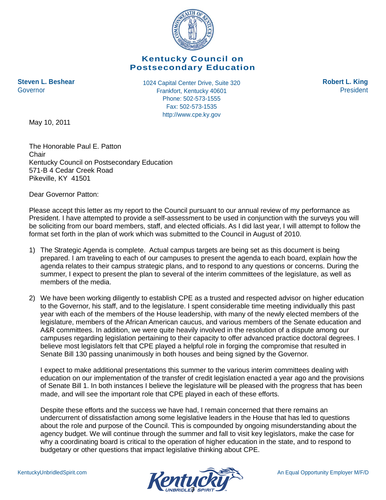

## **Kentucky Council on Postsecondary Education**

**Steven L. Beshear 1024 Capital Center Drive, Suite 320 Robert L. King** Frankfort, Kentucky 40601 Governor President Phone: 502-573-1555 Fax: 502-573-1535 http://www.cpe.ky.gov

May 10, 2011

The Honorable Paul E. Patton **Chair** Kentucky Council on Postsecondary Education 571-B 4 Cedar Creek Road Pikeville, KY 41501

Dear Governor Patton:

Please accept this letter as my report to the Council pursuant to our annual review of my performance as President. I have attempted to provide a self-assessment to be used in conjunction with the surveys you will be soliciting from our board members, staff, and elected officials. As I did last year, I will attempt to follow the format set forth in the plan of work which was submitted to the Council in August of 2010.

- 1) The Strategic Agenda is complete. Actual campus targets are being set as this document is being prepared. I am traveling to each of our campuses to present the agenda to each board, explain how the agenda relates to their campus strategic plans, and to respond to any questions or concerns. During the summer, I expect to present the plan to several of the interim committees of the legislature, as well as members of the media.
- 2) We have been working diligently to establish CPE as a trusted and respected advisor on higher education to the Governor, his staff, and to the legislature. I spent considerable time meeting individually this past year with each of the members of the House leadership, with many of the newly elected members of the legislature, members of the African American caucus, and various members of the Senate education and A&R committees. In addition, we were quite heavily involved in the resolution of a dispute among our campuses regarding legislation pertaining to their capacity to offer advanced practice doctoral degrees. I believe most legislators felt that CPE played a helpful role in forging the compromise that resulted in Senate Bill 130 passing unanimously in both houses and being signed by the Governor.

I expect to make additional presentations this summer to the various interim committees dealing with education on our implementation of the transfer of credit legislation enacted a year ago and the provisions of Senate Bill 1. In both instances I believe the legislature will be pleased with the progress that has been made, and will see the important role that CPE played in each of these efforts.

Despite these efforts and the success we have had, I remain concerned that there remains an undercurrent of dissatisfaction among some legislative leaders in the House that has led to questions about the role and purpose of the Council. This is compounded by ongoing misunderstanding about the agency budget. We will continue through the summer and fall to visit key legislators, make the case for why a coordinating board is critical to the operation of higher education in the state, and to respond to budgetary or other questions that impact legislative thinking about CPE.

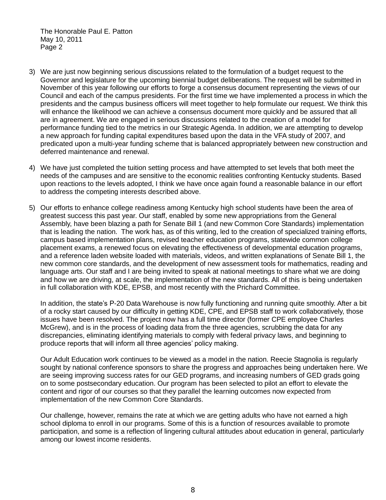- 3) We are just now beginning serious discussions related to the formulation of a budget request to the Governor and legislature for the upcoming biennial budget deliberations. The request will be submitted in November of this year following our efforts to forge a consensus document representing the views of our Council and each of the campus presidents. For the first time we have implemented a process in which the presidents and the campus business officers will meet together to help formulate our request. We think this will enhance the likelihood we can achieve a consensus document more quickly and be assured that all are in agreement. We are engaged in serious discussions related to the creation of a model for performance funding tied to the metrics in our Strategic Agenda. In addition, we are attempting to develop a new approach for funding capital expenditures based upon the data in the VFA study of 2007, and predicated upon a multi-year funding scheme that is balanced appropriately between new construction and deferred maintenance and renewal.
- 4) We have just completed the tuition setting process and have attempted to set levels that both meet the needs of the campuses and are sensitive to the economic realities confronting Kentucky students. Based upon reactions to the levels adopted, I think we have once again found a reasonable balance in our effort to address the competing interests described above.
- 5) Our efforts to enhance college readiness among Kentucky high school students have been the area of greatest success this past year. Our staff, enabled by some new appropriations from the General Assembly, have been blazing a path for Senate Bill 1 (and new Common Core Standards) implementation that is leading the nation. The work has, as of this writing, led to the creation of specialized training efforts, campus based implementation plans, revised teacher education programs, statewide common college placement exams, a renewed focus on elevating the effectiveness of developmental education programs, and a reference laden website loaded with materials, videos, and written explanations of Senate Bill 1, the new common core standards, and the development of new assessment tools for mathematics, reading and language arts. Our staff and I are being invited to speak at national meetings to share what we are doing and how we are driving, at scale, the implementation of the new standards. All of this is being undertaken in full collaboration with KDE, EPSB, and most recently with the Prichard Committee.

In addition, the state's P-20 Data Warehouse is now fully functioning and running quite smoothly. After a bit of a rocky start caused by our difficulty in getting KDE, CPE, and EPSB staff to work collaboratively, those issues have been resolved. The project now has a full time director (former CPE employee Charles McGrew), and is in the process of loading data from the three agencies, scrubbing the data for any discrepancies, eliminating identifying materials to comply with federal privacy laws, and beginning to produce reports that will inform all three agencies' policy making.

Our Adult Education work continues to be viewed as a model in the nation. Reecie Stagnolia is regularly sought by national conference sponsors to share the progress and approaches being undertaken here. We are seeing improving success rates for our GED programs, and increasing numbers of GED grads going on to some postsecondary education. Our program has been selected to pilot an effort to elevate the content and rigor of our courses so that they parallel the learning outcomes now expected from implementation of the new Common Core Standards.

Our challenge, however, remains the rate at which we are getting adults who have not earned a high school diploma to enroll in our programs. Some of this is a function of resources available to promote participation, and some is a reflection of lingering cultural attitudes about education in general, particularly among our lowest income residents.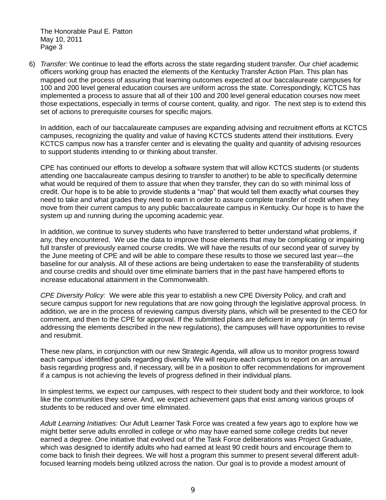6) *Transfer:* We continue to lead the efforts across the state regarding student transfer. Our chief academic officers working group has enacted the elements of the Kentucky Transfer Action Plan. This plan has mapped out the process of assuring that learning outcomes expected at our baccalaureate campuses for 100 and 200 level general education courses are uniform across the state. Correspondingly, KCTCS has implemented a process to assure that all of their 100 and 200 level general education courses now meet those expectations, especially in terms of course content, quality, and rigor. The next step is to extend this set of actions to prerequisite courses for specific majors.

In addition, each of our baccalaureate campuses are expanding advising and recruitment efforts at KCTCS campuses, recognizing the quality and value of having KCTCS students attend their institutions. Every KCTCS campus now has a transfer center and is elevating the quality and quantity of advising resources to support students intending to or thinking about transfer.

CPE has continued our efforts to develop a software system that will allow KCTCS students (or students attending one baccalaureate campus desiring to transfer to another) to be able to specifically determine what would be required of them to assure that when they transfer, they can do so with minimal loss of credit. Our hope is to be able to provide students a "map" that would tell them exactly what courses they need to take and what grades they need to earn in order to assure complete transfer of credit when they move from their current campus to any public baccalaureate campus in Kentucky. Our hope is to have the system up and running during the upcoming academic year.

In addition, we continue to survey students who have transferred to better understand what problems, if any, they encountered. We use the data to improve those elements that may be complicating or impairing full transfer of previously earned course credits. We will have the results of our second year of survey by the June meeting of CPE and will be able to compare these results to those we secured last year—the baseline for our analysis. All of these actions are being undertaken to ease the transferability of students and course credits and should over time eliminate barriers that in the past have hampered efforts to increase educational attainment in the Commonwealth.

*CPE Diversity Policy:* We were able this year to establish a new CPE Diversity Policy, and craft and secure campus support for new regulations that are now going through the legislative approval process. In addition, we are in the process of reviewing campus diversity plans, which will be presented to the CEO for comment, and then to the CPE for approval. If the submitted plans are deficient in any way (in terms of addressing the elements described in the new regulations), the campuses will have opportunities to revise and resubmit.

These new plans, in conjunction with our new Strategic Agenda, will allow us to monitor progress toward each campus' identified goals regarding diversity. We will require each campus to report on an annual basis regarding progress and, if necessary, will be in a position to offer recommendations for improvement if a campus is not achieving the levels of progress defined in their individual plans.

In simplest terms, we expect our campuses, with respect to their student body and their workforce, to look like the communities they serve. And, we expect achievement gaps that exist among various groups of students to be reduced and over time eliminated.

*Adult Learning Initiatives:* Our Adult Learner Task Force was created a few years ago to explore how we might better serve adults enrolled in college or who may have earned some college credits but never earned a degree. One initiative that evolved out of the Task Force deliberations was Project Graduate, which was designed to identify adults who had earned at least 90 credit hours and encourage them to come back to finish their degrees. We will host a program this summer to present several different adultfocused learning models being utilized across the nation. Our goal is to provide a modest amount of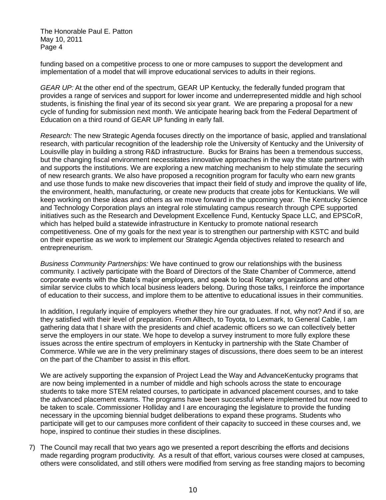funding based on a competitive process to one or more campuses to support the development and implementation of a model that will improve educational services to adults in their regions.

*GEAR UP:* At the other end of the spectrum, GEAR UP Kentucky, the federally funded program that provides a range of services and support for lower income and underrepresented middle and high school students, is finishing the final year of its second six year grant. We are preparing a proposal for a new cycle of funding for submission next month. We anticipate hearing back from the Federal Department of Education on a third round of GEAR UP funding in early fall.

*Research:* The new Strategic Agenda focuses directly on the importance of basic, applied and translational research, with particular recognition of the leadership role the University of Kentucky and the University of Louisville play in building a strong R&D infrastructure. Bucks for Brains has been a tremendous success, but the changing fiscal environment necessitates innovative approaches in the way the state partners with and supports the institutions. We are exploring a new matching mechanism to help stimulate the securing of new research grants. We also have proposed a recognition program for faculty who earn new grants and use those funds to make new discoveries that impact their field of study and improve the quality of life, the environment, health, manufacturing, or create new products that create jobs for Kentuckians. We will keep working on these ideas and others as we move forward in the upcoming year. The Kentucky Science and Technology Corporation plays an integral role stimulating campus research through CPE supported initiatives such as the Research and Development Excellence Fund, Kentucky Space LLC, and EPSCoR, which has helped build a statewide infrastructure in Kentucky to promote national research competitiveness. One of my goals for the next year is to strengthen our partnership with KSTC and build on their expertise as we work to implement our Strategic Agenda objectives related to research and entrepreneurism.

*Business Community Partnerships:* We have continued to grow our relationships with the business community. I actively participate with the Board of Directors of the State Chamber of Commerce, attend corporate events with the State's major employers, and speak to local Rotary organizations and other similar service clubs to which local business leaders belong. During those talks, I reinforce the importance of education to their success, and implore them to be attentive to educational issues in their communities.

In addition, I regularly inquire of employers whether they hire our graduates. If not, why not? And if so, are they satisfied with their level of preparation. From Alltech, to Toyota, to Lexmark, to General Cable, I am gathering data that I share with the presidents and chief academic officers so we can collectively better serve the employers in our state. We hope to develop a survey instrument to more fully explore these issues across the entire spectrum of employers in Kentucky in partnership with the State Chamber of Commerce. While we are in the very preliminary stages of discussions, there does seem to be an interest on the part of the Chamber to assist in this effort.

We are actively supporting the expansion of Project Lead the Way and AdvanceKentucky programs that are now being implemented in a number of middle and high schools across the state to encourage students to take more STEM related courses, to participate in advanced placement courses, and to take the advanced placement exams. The programs have been successful where implemented but now need to be taken to scale. Commissioner Holliday and I are encouraging the legislature to provide the funding necessary in the upcoming biennial budget deliberations to expand these programs. Students who participate will get to our campuses more confident of their capacity to succeed in these courses and, we hope, inspired to continue their studies in these disciplines.

7) The Council may recall that two years ago we presented a report describing the efforts and decisions made regarding program productivity. As a result of that effort, various courses were closed at campuses, others were consolidated, and still others were modified from serving as free standing majors to becoming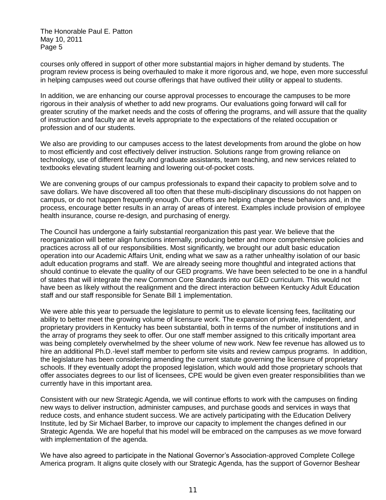courses only offered in support of other more substantial majors in higher demand by students. The program review process is being overhauled to make it more rigorous and, we hope, even more successful in helping campuses weed out course offerings that have outlived their utility or appeal to students.

In addition, we are enhancing our course approval processes to encourage the campuses to be more rigorous in their analysis of whether to add new programs. Our evaluations going forward will call for greater scrutiny of the market needs and the costs of offering the programs, and will assure that the quality of instruction and faculty are at levels appropriate to the expectations of the related occupation or profession and of our students.

We also are providing to our campuses access to the latest developments from around the globe on how to most efficiently and cost effectively deliver instruction. Solutions range from growing reliance on technology, use of different faculty and graduate assistants, team teaching, and new services related to textbooks elevating student learning and lowering out-of-pocket costs.

We are convening groups of our campus professionals to expand their capacity to problem solve and to save dollars. We have discovered all too often that these multi-disciplinary discussions do not happen on campus, or do not happen frequently enough. Our efforts are helping change these behaviors and, in the process, encourage better results in an array of areas of interest. Examples include provision of employee health insurance, course re-design, and purchasing of energy.

The Council has undergone a fairly substantial reorganization this past year. We believe that the reorganization will better align functions internally, producing better and more comprehensive policies and practices across all of our responsibilities. Most significantly, we brought our adult basic education operation into our Academic Affairs Unit, ending what we saw as a rather unhealthy isolation of our basic adult education programs and staff. We are already seeing more thoughtful and integrated actions that should continue to elevate the quality of our GED programs. We have been selected to be one in a handful of states that will integrate the new Common Core Standards into our GED curriculum. This would not have been as likely without the realignment and the direct interaction between Kentucky Adult Education staff and our staff responsible for Senate Bill 1 implementation.

We were able this year to persuade the legislature to permit us to elevate licensing fees, facilitating our ability to better meet the growing volume of licensure work. The expansion of private, independent, and proprietary providers in Kentucky has been substantial, both in terms of the number of institutions and in the array of programs they seek to offer. Our one staff member assigned to this critically important area was being completely overwhelmed by the sheer volume of new work. New fee revenue has allowed us to hire an additional Ph.D.-level staff member to perform site visits and review campus programs. In addition, the legislature has been considering amending the current statute governing the licensure of proprietary schools. If they eventually adopt the proposed legislation, which would add those proprietary schools that offer associates degrees to our list of licensees, CPE would be given even greater responsibilities than we currently have in this important area.

Consistent with our new Strategic Agenda, we will continue efforts to work with the campuses on finding new ways to deliver instruction, administer campuses, and purchase goods and services in ways that reduce costs, and enhance student success. We are actively participating with the Education Delivery Institute, led by Sir Michael Barber, to improve our capacity to implement the changes defined in our Strategic Agenda. We are hopeful that his model will be embraced on the campuses as we move forward with implementation of the agenda.

We have also agreed to participate in the National Governor's Association-approved Complete College America program. It aligns quite closely with our Strategic Agenda, has the support of Governor Beshear